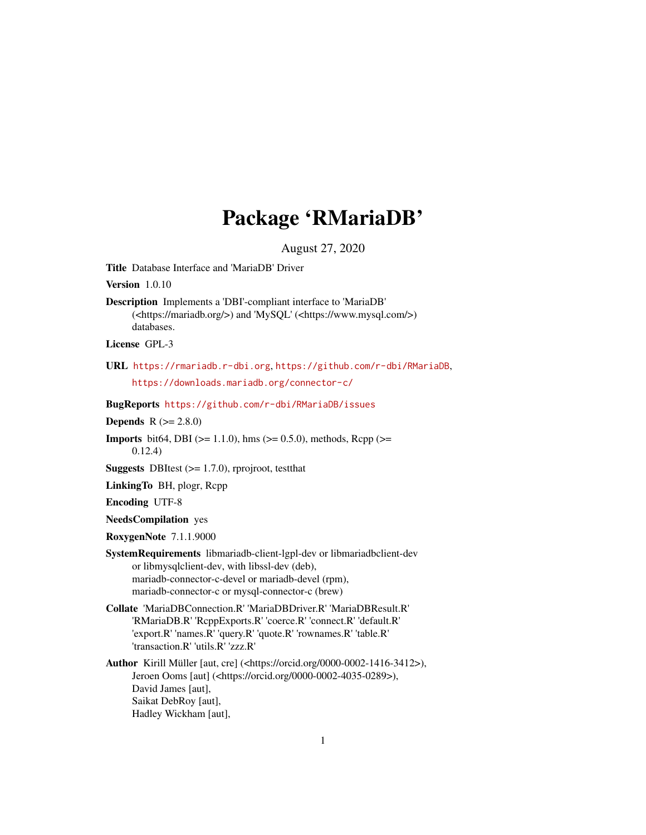## Package 'RMariaDB'

August 27, 2020

<span id="page-0-0"></span>Title Database Interface and 'MariaDB' Driver

Version 1.0.10

Description Implements a 'DBI'-compliant interface to 'MariaDB' (<https://mariadb.org/>) and 'MySQL' (<https://www.mysql.com/>) databases.

License GPL-3

URL <https://rmariadb.r-dbi.org>, <https://github.com/r-dbi/RMariaDB>, <https://downloads.mariadb.org/connector-c/>

BugReports <https://github.com/r-dbi/RMariaDB/issues>

**Depends**  $R (= 2.8.0)$ 

**Imports** bit64, DBI ( $>= 1.1.0$ ), hms ( $>= 0.5.0$ ), methods, Rcpp ( $>=$ 0.12.4)

**Suggests** DBItest  $(>= 1.7.0)$ , rprojroot, test that

LinkingTo BH, plogr, Rcpp

Encoding UTF-8

NeedsCompilation yes

RoxygenNote 7.1.1.9000

SystemRequirements libmariadb-client-lgpl-dev or libmariadbclient-dev or libmysqlclient-dev, with libssl-dev (deb), mariadb-connector-c-devel or mariadb-devel (rpm), mariadb-connector-c or mysql-connector-c (brew)

Collate 'MariaDBConnection.R' 'MariaDBDriver.R' 'MariaDBResult.R' 'RMariaDB.R' 'RcppExports.R' 'coerce.R' 'connect.R' 'default.R' 'export.R' 'names.R' 'query.R' 'quote.R' 'rownames.R' 'table.R' 'transaction.R' 'utils.R' 'zzz.R'

Author Kirill Müller [aut, cre] (<https://orcid.org/0000-0002-1416-3412>), Jeroen Ooms [aut] (<https://orcid.org/0000-0002-4035-0289>), David James [aut], Saikat DebRoy [aut], Hadley Wickham [aut],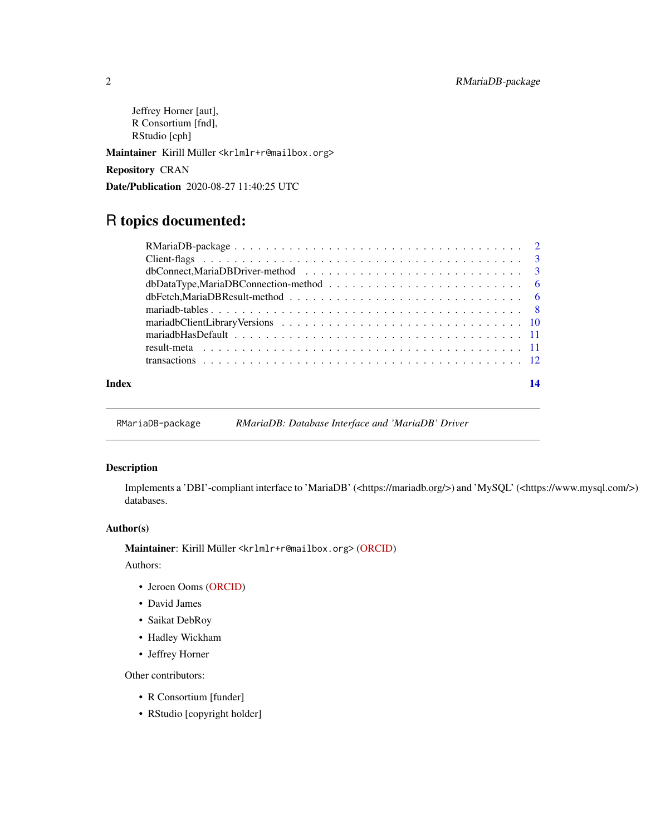<span id="page-1-0"></span>Jeffrey Horner [aut], R Consortium [fnd], RStudio [cph]

Maintainer Kirill Müller <krlmlr+r@mailbox.org>

Repository CRAN

Date/Publication 2020-08-27 11:40:25 UTC

### R topics documented:

RMariaDB-package *RMariaDB: Database Interface and 'MariaDB' Driver*

#### Description

Implements a 'DBI'-compliant interface to 'MariaDB' (<https://mariadb.org/>) and 'MySQL' (<https://www.mysql.com/>) databases.

#### Author(s)

Maintainer: Kirill Müller <krlmlr+r@mailbox.org> [\(ORCID\)](https://orcid.org/0000-0002-1416-3412)

Authors:

- Jeroen Ooms [\(ORCID\)](https://orcid.org/0000-0002-4035-0289)
- David James
- Saikat DebRoy
- Hadley Wickham
- Jeffrey Horner

Other contributors:

- R Consortium [funder]
- RStudio [copyright holder]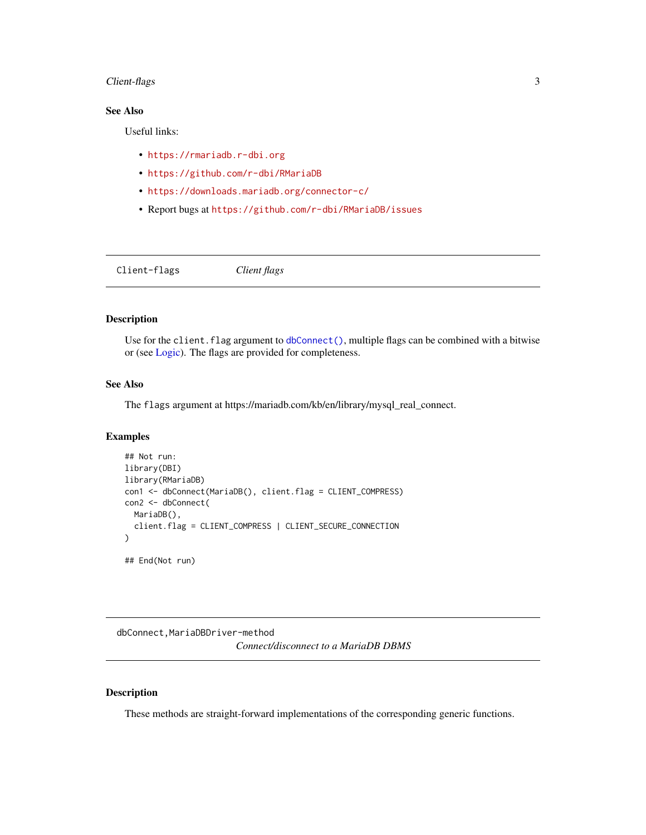#### <span id="page-2-0"></span>Client-flags 3

#### See Also

Useful links:

- <https://rmariadb.r-dbi.org>
- <https://github.com/r-dbi/RMariaDB>
- <https://downloads.mariadb.org/connector-c/>
- Report bugs at <https://github.com/r-dbi/RMariaDB/issues>

<span id="page-2-1"></span>Client-flags *Client flags*

#### Description

Use for the client.flag argument to [dbConnect\(\)](#page-0-0), multiple flags can be combined with a bitwise or (see [Logic\)](#page-0-0). The flags are provided for completeness.

#### See Also

The flags argument at https://mariadb.com/kb/en/library/mysql\_real\_connect.

#### Examples

```
## Not run:
library(DBI)
library(RMariaDB)
con1 <- dbConnect(MariaDB(), client.flag = CLIENT_COMPRESS)
con2 <- dbConnect(
 MariaDB(),
  client.flag = CLIENT_COMPRESS | CLIENT_SECURE_CONNECTION
)
## End(Not run)
```
dbConnect,MariaDBDriver-method *Connect/disconnect to a MariaDB DBMS*

#### <span id="page-2-2"></span>Description

These methods are straight-forward implementations of the corresponding generic functions.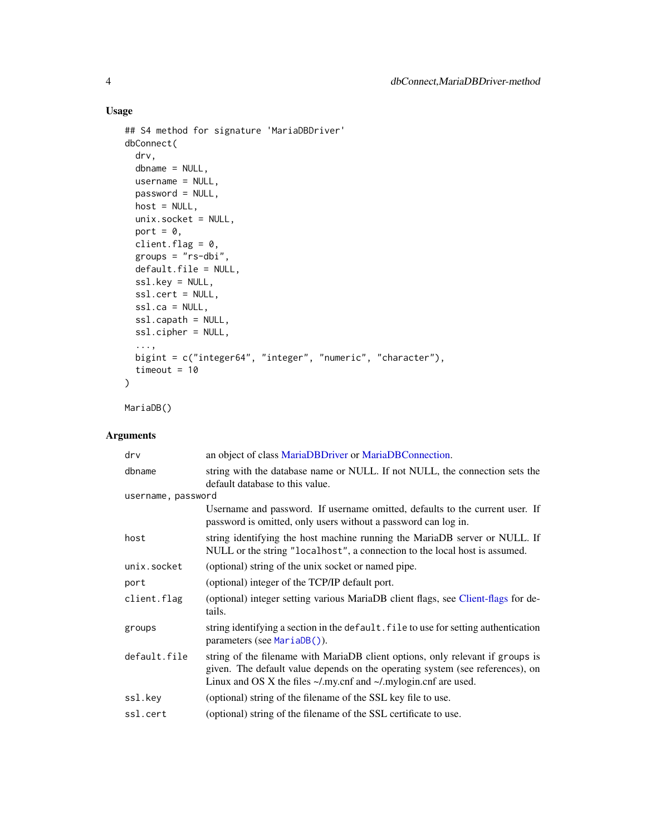#### Usage

```
## S4 method for signature 'MariaDBDriver'
dbConnect(
  drv,
 dbname = NULL,
 username = NULL,
 password = NULL,
 host = NULL,
 unix.socket = NULL,
 port = \theta,
 client.flag = 0,
  groups = "rs-dbi",
 default.file = NULL,
  ssl.key = NULL,
  ssl.cert = NULL,
  ssl.ca = NULL,
  ssl.capath = NULL,
 ssl.cipher = NULL,
  ...,
 bigint = c("integer64", "integer", "numeric", "character"),
 timeout = 10\mathcal{L}
```
MariaDB()

### Arguments

| drv                | an object of class MariaDBDriver or MariaDBConnection.                                                                                                                                                                                         |
|--------------------|------------------------------------------------------------------------------------------------------------------------------------------------------------------------------------------------------------------------------------------------|
| dbname             | string with the database name or NULL. If not NULL, the connection sets the<br>default database to this value.                                                                                                                                 |
| username, password |                                                                                                                                                                                                                                                |
|                    | Username and password. If username omitted, defaults to the current user. If<br>password is omitted, only users without a password can log in.                                                                                                 |
| host               | string identifying the host machine running the MariaDB server or NULL. If<br>NULL or the string "localhost", a connection to the local host is assumed.                                                                                       |
| unix.socket        | (optional) string of the unix socket or named pipe.                                                                                                                                                                                            |
| port               | (optional) integer of the TCP/IP default port.                                                                                                                                                                                                 |
| client.flag        | (optional) integer setting various MariaDB client flags, see Client-flags for de-<br>tails.                                                                                                                                                    |
| groups             | string identifying a section in the default. file to use for setting authentication<br>parameters (see MariaDB()).                                                                                                                             |
| default.file       | string of the filename with MariaDB client options, only relevant if groups is<br>given. The default value depends on the operating system (see references), on<br>Linux and OS X the files $\sim$ /.my.cnf and $\sim$ /.mylogin.cnf are used. |
| ssl.key            | (optional) string of the filename of the SSL key file to use.                                                                                                                                                                                  |
| ssl.cert           | (optional) string of the filename of the SSL certificate to use.                                                                                                                                                                               |

<span id="page-3-0"></span>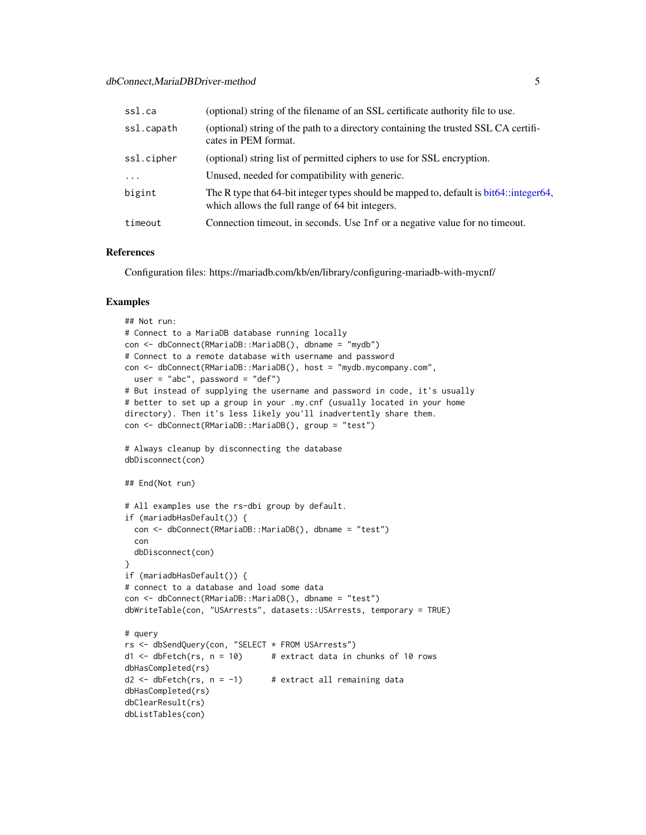<span id="page-4-0"></span>

| ssl.ca     | (optional) string of the filename of an SSL certificate authority file to use.                                                              |
|------------|---------------------------------------------------------------------------------------------------------------------------------------------|
| ssl.capath | (optional) string of the path to a directory containing the trusted SSL CA certifi-<br>cates in PEM format.                                 |
| ssl.cipher | (optional) string list of permitted ciphers to use for SSL encryption.                                                                      |
| $\cdots$   | Unused, needed for compatibility with generic.                                                                                              |
| bigint     | The R type that 64-bit integer types should be mapped to, default is bit 64: integer 64,<br>which allows the full range of 64 bit integers. |
| timeout    | Connection timeout, in seconds. Use Inf or a negative value for no timeout.                                                                 |

#### References

Configuration files: https://mariadb.com/kb/en/library/configuring-mariadb-with-mycnf/

#### Examples

```
## Not run:
# Connect to a MariaDB database running locally
con <- dbConnect(RMariaDB::MariaDB(), dbname = "mydb")
# Connect to a remote database with username and password
con <- dbConnect(RMariaDB::MariaDB(), host = "mydb.mycompany.com",
  user = "abc", password = "def")
# But instead of supplying the username and password in code, it's usually
# better to set up a group in your .my.cnf (usually located in your home
directory). Then it's less likely you'll inadvertently share them.
con <- dbConnect(RMariaDB::MariaDB(), group = "test")
# Always cleanup by disconnecting the database
dbDisconnect(con)
## End(Not run)
# All examples use the rs-dbi group by default.
if (mariadbHasDefault()) {
  con <- dbConnect(RMariaDB::MariaDB(), dbname = "test")
  con
  dbDisconnect(con)
}
if (mariadbHasDefault()) {
# connect to a database and load some data
con <- dbConnect(RMariaDB::MariaDB(), dbname = "test")
dbWriteTable(con, "USArrests", datasets::USArrests, temporary = TRUE)
# query
rs <- dbSendQuery(con, "SELECT * FROM USArrests")
d1 \le - dbFetch(rs, n = 10) # extract data in chunks of 10 rows
dbHasCompleted(rs)
d2 \leq -dbFetch(rs, n = -1) # extract all remaining data
dbHasCompleted(rs)
dbClearResult(rs)
dbListTables(con)
```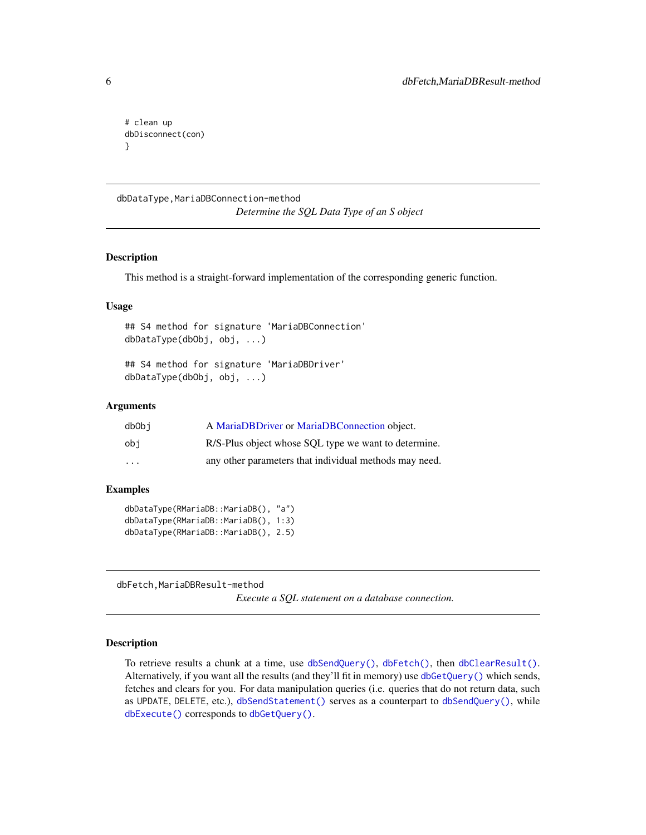```
# clean up
dbDisconnect(con)
}
```
dbDataType,MariaDBConnection-method *Determine the SQL Data Type of an S object*

#### Description

This method is a straight-forward implementation of the corresponding generic function.

#### Usage

## S4 method for signature 'MariaDBConnection' dbDataType(dbObj, obj, ...)

## S4 method for signature 'MariaDBDriver' dbDataType(dbObj, obj, ...)

#### Arguments

| dbObi                   | A MariaDBDriver or MariaDBConnection object.           |
|-------------------------|--------------------------------------------------------|
| obi                     | R/S-Plus object whose SQL type we want to determine.   |
| $\cdot$ $\cdot$ $\cdot$ | any other parameters that individual methods may need. |

#### Examples

dbDataType(RMariaDB::MariaDB(), "a") dbDataType(RMariaDB::MariaDB(), 1:3) dbDataType(RMariaDB::MariaDB(), 2.5)

dbFetch,MariaDBResult-method

*Execute a SQL statement on a database connection.*

#### Description

To retrieve results a chunk at a time, use [dbSendQuery\(\)](#page-0-0), [dbFetch\(\)](#page-0-0), then [dbClearResult\(\)](#page-0-0). Alternatively, if you want all the results (and they'll fit in memory) use [dbGetQuery\(\)](#page-0-0) which sends, fetches and clears for you. For data manipulation queries (i.e. queries that do not return data, such as UPDATE, DELETE, etc.), [dbSendStatement\(\)](#page-0-0) serves as a counterpart to [dbSendQuery\(\)](#page-0-0), while [dbExecute\(\)](#page-0-0) corresponds to [dbGetQuery\(\)](#page-0-0).

<span id="page-5-0"></span>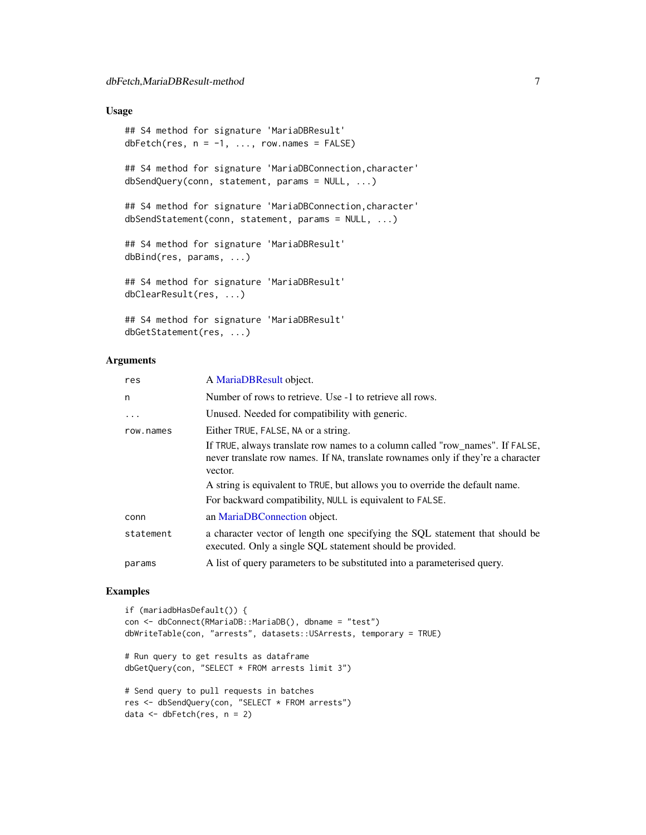#### <span id="page-6-0"></span>Usage

```
## S4 method for signature 'MariaDBResult'
dbFetch(res, n = -1, \ldots, row.names = FALSE)
## S4 method for signature 'MariaDBConnection,character'
dbSendQuery(conn, statement, params = NULL, ...)
## S4 method for signature 'MariaDBConnection, character'
dbSendStatement(conn, statement, params = NULL, ...)
## S4 method for signature 'MariaDBResult'
dbBind(res, params, ...)
## S4 method for signature 'MariaDBResult'
dbClearResult(res, ...)
## S4 method for signature 'MariaDBResult'
```

```
dbGetStatement(res, ...)
```
#### Arguments

| res       | A MariaDBResult object.                                                                                                                                                      |
|-----------|------------------------------------------------------------------------------------------------------------------------------------------------------------------------------|
| n         | Number of rows to retrieve. Use -1 to retrieve all rows.                                                                                                                     |
| $\ddots$  | Unused. Needed for compatibility with generic.                                                                                                                               |
| row.names | Either TRUE, FALSE, NA or a string.                                                                                                                                          |
|           | If TRUE, always translate row names to a column called "row_names". If FALSE,<br>never translate row names. If NA, translate rownames only if they're a character<br>vector. |
|           | A string is equivalent to TRUE, but allows you to override the default name.                                                                                                 |
|           | For backward compatibility, NULL is equivalent to FALSE.                                                                                                                     |
| conn      | an MariaDBConnection object.                                                                                                                                                 |
| statement | a character vector of length one specifying the SQL statement that should be<br>executed. Only a single SQL statement should be provided.                                    |
| params    | A list of query parameters to be substituted into a parameterised query.                                                                                                     |

#### Examples

```
if (mariadbHasDefault()) {
con <- dbConnect(RMariaDB::MariaDB(), dbname = "test")
dbWriteTable(con, "arrests", datasets::USArrests, temporary = TRUE)
# Run query to get results as dataframe
dbGetQuery(con, "SELECT * FROM arrests limit 3")
# Send query to pull requests in batches
res <- dbSendQuery(con, "SELECT * FROM arrests")
data <- dbFetch(res, n = 2)
```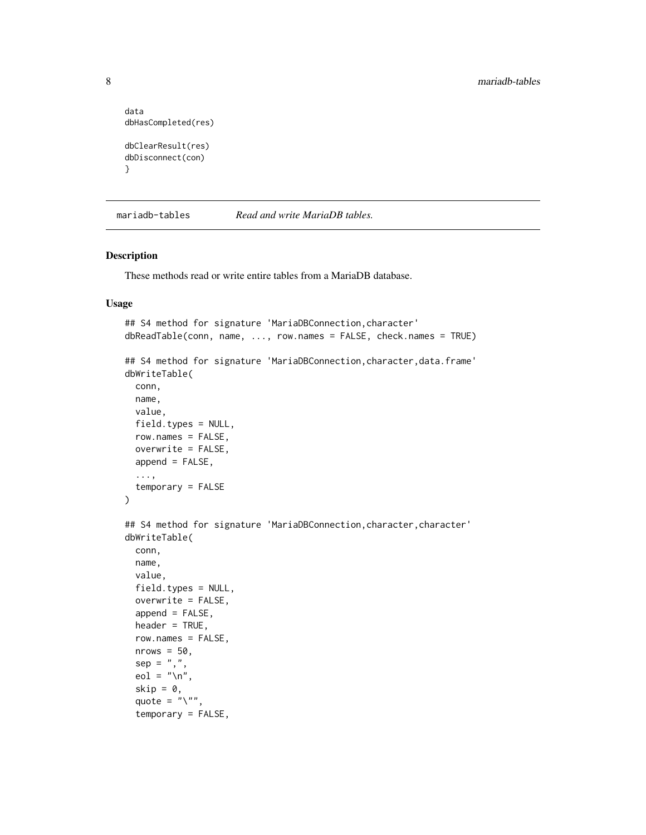```
data
dbHasCompleted(res)
dbClearResult(res)
dbDisconnect(con)
}
```
mariadb-tables *Read and write MariaDB tables.*

#### Description

These methods read or write entire tables from a MariaDB database.

#### Usage

```
## S4 method for signature 'MariaDBConnection,character'
dbReadTable(conn, name, ..., row.names = FALSE, check.names = TRUE)
## S4 method for signature 'MariaDBConnection, character, data.frame'
dbWriteTable(
 conn,
 name,
  value,
 field.types = NULL,
 row.names = FALSE,
 overwrite = FALSE,
 append = FALSE,...,
  temporary = FALSE
\mathcal{L}## S4 method for signature 'MariaDBConnection, character, character'
dbWriteTable(
  conn,
 name,
 value,
  field.types = NULL,
  overwrite = FALSE,
  append = FALSE,header = TRUE,
  row.names = FALSE,
  nrows = 50,
  sep = ","eol = "n",skip = 0,quote = "\rangle",
  temporary = FALSE,
```
<span id="page-7-0"></span>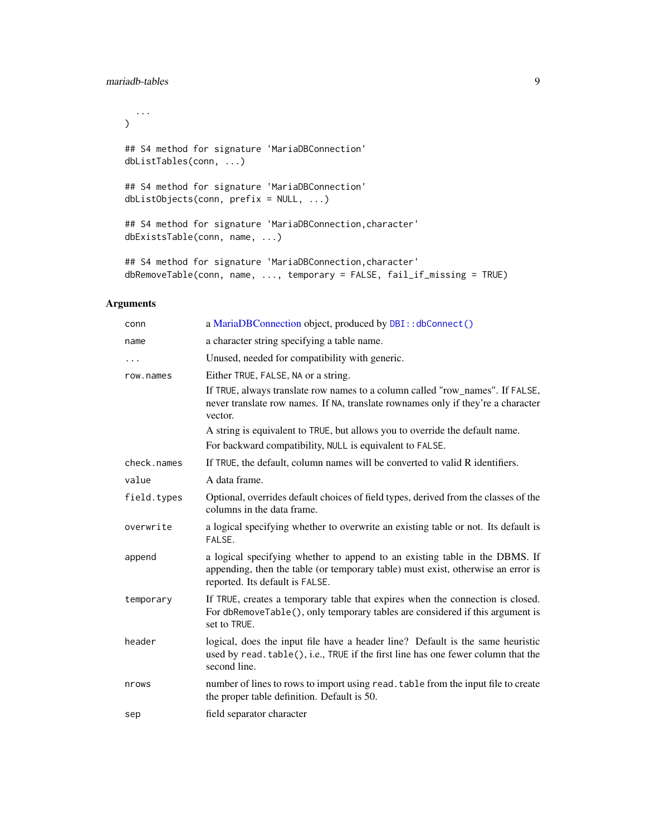#### <span id="page-8-0"></span>mariadb-tables 9

```
...
\mathcal{L}## S4 method for signature 'MariaDBConnection'
dbListTables(conn, ...)
## S4 method for signature 'MariaDBConnection'
dbListObjects(conn, prefix = NULL, ...)
## S4 method for signature 'MariaDBConnection,character'
dbExistsTable(conn, name, ...)
## S4 method for signature 'MariaDBConnection,character'
```

```
dbRemoveTable(conn, name, ..., temporary = FALSE, fail_if_missing = TRUE)
```
#### Arguments

| conn        | a MariaDBConnection object, produced by DBI:: dbConnect()                                                                                                                                          |
|-------------|----------------------------------------------------------------------------------------------------------------------------------------------------------------------------------------------------|
| name        | a character string specifying a table name.                                                                                                                                                        |
| $\cdots$    | Unused, needed for compatibility with generic.                                                                                                                                                     |
| row.names   | Either TRUE, FALSE, NA or a string.                                                                                                                                                                |
|             | If TRUE, always translate row names to a column called "row_names". If FALSE,<br>never translate row names. If NA, translate rownames only if they're a character<br>vector.                       |
|             | A string is equivalent to TRUE, but allows you to override the default name.                                                                                                                       |
|             | For backward compatibility, NULL is equivalent to FALSE.                                                                                                                                           |
| check.names | If TRUE, the default, column names will be converted to valid R identifiers.                                                                                                                       |
| value       | A data frame.                                                                                                                                                                                      |
| field.types | Optional, overrides default choices of field types, derived from the classes of the<br>columns in the data frame.                                                                                  |
| overwrite   | a logical specifying whether to overwrite an existing table or not. Its default is<br>FALSE.                                                                                                       |
| append      | a logical specifying whether to append to an existing table in the DBMS. If<br>appending, then the table (or temporary table) must exist, otherwise an error is<br>reported. Its default is FALSE. |
| temporary   | If TRUE, creates a temporary table that expires when the connection is closed.<br>For dbRemoveTable(), only temporary tables are considered if this argument is<br>set to TRUE.                    |
| header      | logical, does the input file have a header line? Default is the same heuristic<br>used by read. table(), i.e., TRUE if the first line has one fewer column that the<br>second line.                |
| nrows       | number of lines to rows to import using read. table from the input file to create<br>the proper table definition. Default is 50.                                                                   |
| sep         | field separator character                                                                                                                                                                          |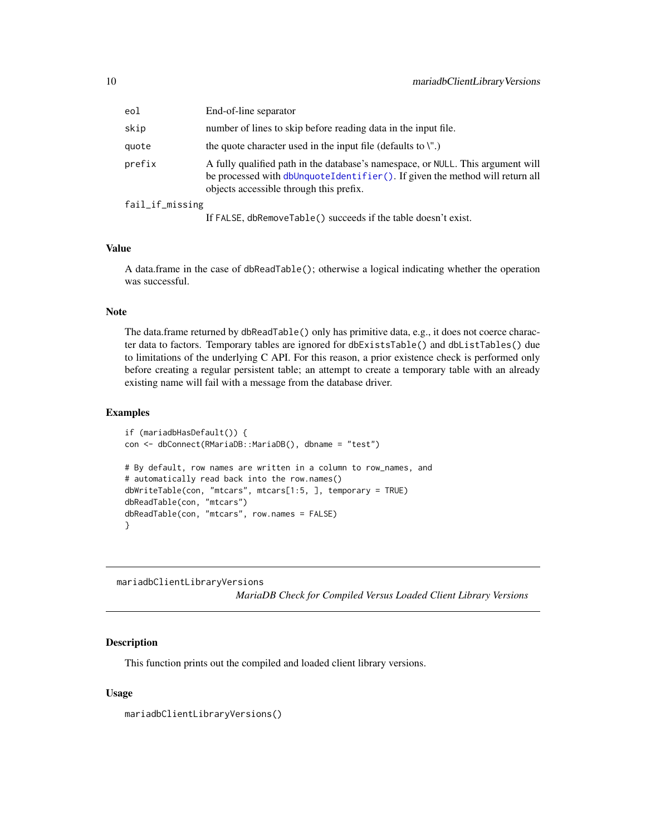<span id="page-9-0"></span>

| eol             | End-of-line separator                                                                                                                                                                                      |
|-----------------|------------------------------------------------------------------------------------------------------------------------------------------------------------------------------------------------------------|
| skip            | number of lines to skip before reading data in the input file.                                                                                                                                             |
| quote           | the quote character used in the input file (defaults to $\mathcal{N}$ )                                                                                                                                    |
| prefix          | A fully qualified path in the database's namespace, or NULL. This argument will<br>be processed with dbUnquoteIdentifier(). If given the method will return all<br>objects accessible through this prefix. |
| fail_if_missing |                                                                                                                                                                                                            |
|                 | If FALSE, dbRemoveTable() succeeds if the table doesn't exist.                                                                                                                                             |

#### Value

A data.frame in the case of dbReadTable(); otherwise a logical indicating whether the operation was successful.

#### Note

The data.frame returned by dbReadTable() only has primitive data, e.g., it does not coerce character data to factors. Temporary tables are ignored for dbExistsTable() and dbListTables() due to limitations of the underlying C API. For this reason, a prior existence check is performed only before creating a regular persistent table; an attempt to create a temporary table with an already existing name will fail with a message from the database driver.

#### Examples

```
if (mariadbHasDefault()) {
con <- dbConnect(RMariaDB::MariaDB(), dbname = "test")
# By default, row names are written in a column to row_names, and
# automatically read back into the row.names()
dbWriteTable(con, "mtcars", mtcars[1:5, ], temporary = TRUE)
dbReadTable(con, "mtcars")
dbReadTable(con, "mtcars", row.names = FALSE)
}
```
mariadbClientLibraryVersions

*MariaDB Check for Compiled Versus Loaded Client Library Versions*

#### Description

This function prints out the compiled and loaded client library versions.

#### Usage

```
mariadbClientLibraryVersions()
```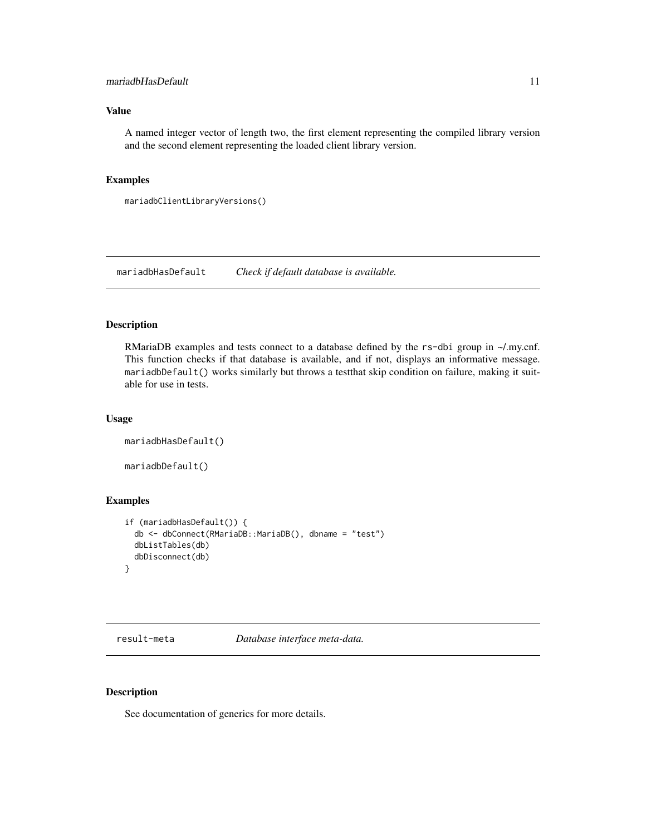#### <span id="page-10-0"></span>mariadbHasDefault 11

#### Value

A named integer vector of length two, the first element representing the compiled library version and the second element representing the loaded client library version.

#### Examples

```
mariadbClientLibraryVersions()
```
mariadbHasDefault *Check if default database is available.*

#### Description

RMariaDB examples and tests connect to a database defined by the rs-dbi group in ~/.my.cnf. This function checks if that database is available, and if not, displays an informative message. mariadbDefault() works similarly but throws a testthat skip condition on failure, making it suitable for use in tests.

#### Usage

```
mariadbHasDefault()
```
mariadbDefault()

#### Examples

```
if (mariadbHasDefault()) {
 db <- dbConnect(RMariaDB::MariaDB(), dbname = "test")
 dbListTables(db)
 dbDisconnect(db)
}
```
result-meta *Database interface meta-data.*

#### Description

See documentation of generics for more details.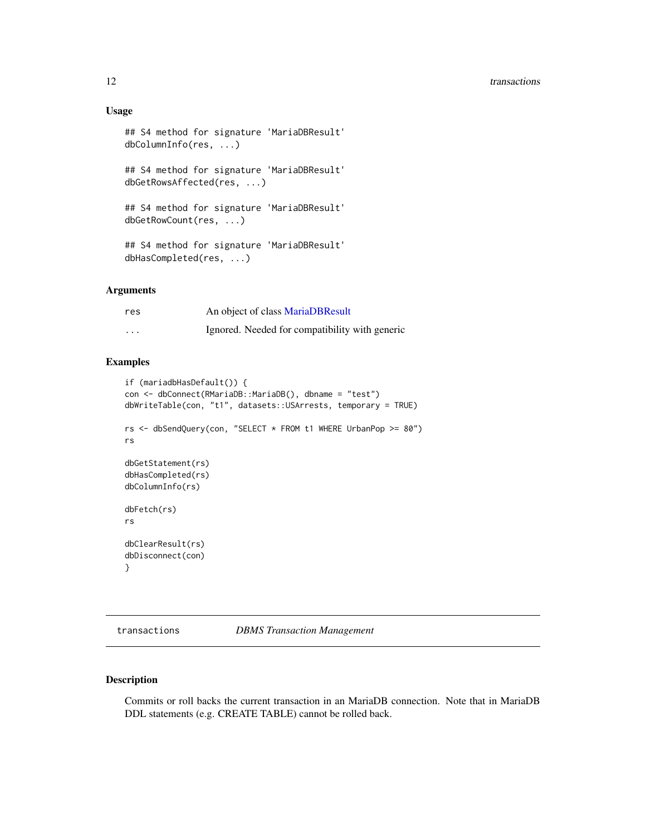```
## S4 method for signature 'MariaDBResult'
dbColumnInfo(res, ...)
## S4 method for signature 'MariaDBResult'
dbGetRowsAffected(res, ...)
## S4 method for signature 'MariaDBResult'
dbGetRowCount(res, ...)
```
## S4 method for signature 'MariaDBResult' dbHasCompleted(res, ...)

#### Arguments

| res      | An object of class MariaDBResult               |
|----------|------------------------------------------------|
| $\cdots$ | Ignored. Needed for compatibility with generic |

#### Examples

```
if (mariadbHasDefault()) {
con <- dbConnect(RMariaDB::MariaDB(), dbname = "test")
dbWriteTable(con, "t1", datasets::USArrests, temporary = TRUE)
rs <- dbSendQuery(con, "SELECT * FROM t1 WHERE UrbanPop >= 80")
rs
dbGetStatement(rs)
dbHasCompleted(rs)
dbColumnInfo(rs)
dbFetch(rs)
rs
dbClearResult(rs)
dbDisconnect(con)
}
```
transactions *DBMS Transaction Management*

#### Description

Commits or roll backs the current transaction in an MariaDB connection. Note that in MariaDB DDL statements (e.g. CREATE TABLE) cannot be rolled back.

<span id="page-11-0"></span>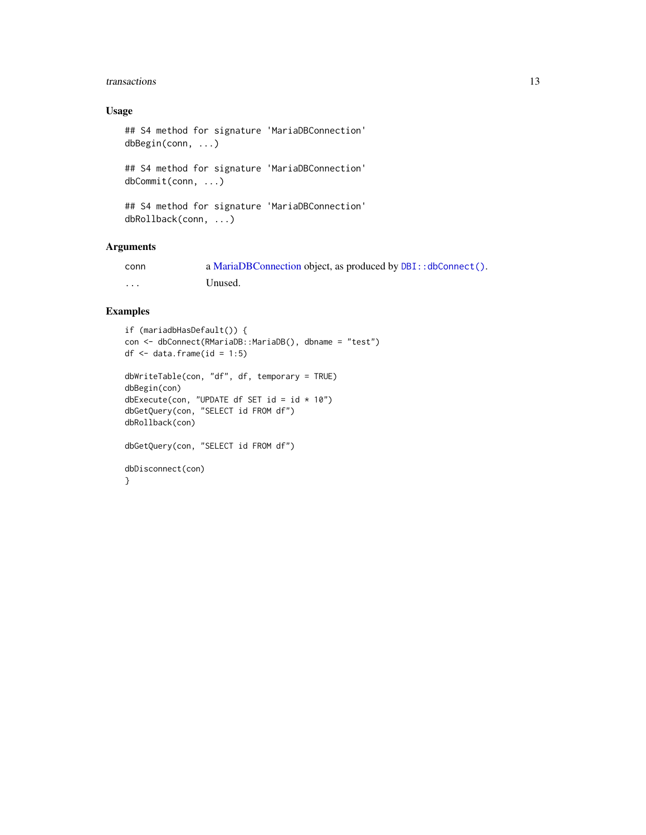#### <span id="page-12-0"></span>transactions and the set of the set of the set of the set of the set of the set of the set of the set of the set of the set of the set of the set of the set of the set of the set of the set of the set of the set of the set

#### Usage

```
## S4 method for signature 'MariaDBConnection'
dbBegin(conn, ...)
```
## S4 method for signature 'MariaDBConnection' dbCommit(conn, ...)

```
## S4 method for signature 'MariaDBConnection'
dbRollback(conn, ...)
```
#### Arguments

| conn    | a MariaDBConnection object, as produced by DBI:: dbConnect(). |
|---------|---------------------------------------------------------------|
| $\cdot$ | Unused.                                                       |

#### Examples

```
if (mariadbHasDefault()) {
con <- dbConnect(RMariaDB::MariaDB(), dbname = "test")
df \leftarrow data . frame(id = 1:5)dbWriteTable(con, "df", df, temporary = TRUE)
dbBegin(con)
dbExecute(con, "UPDATE df SET id = id * 10")
dbGetQuery(con, "SELECT id FROM df")
dbRollback(con)
dbGetQuery(con, "SELECT id FROM df")
dbDisconnect(con)
}
```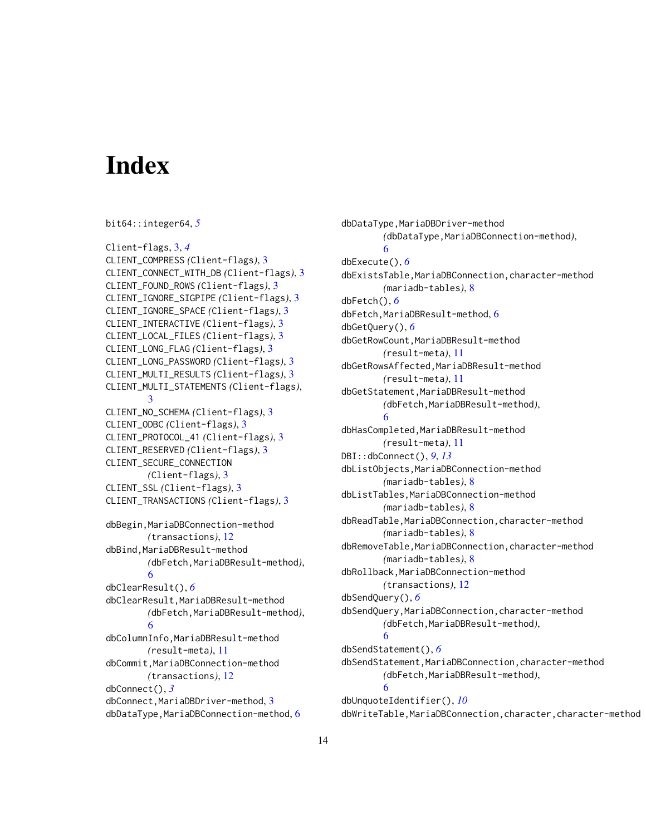# <span id="page-13-0"></span>**Index**

```
bit64::integer64, 5
Client-flags, 3, 4
CLIENT_COMPRESS (Client-flags), 3
CLIENT_CONNECT_WITH_DB (Client-flags), 3
CLIENT_FOUND_ROWS (Client-flags), 3
CLIENT_IGNORE_SIGPIPE (Client-flags), 3
CLIENT_IGNORE_SPACE (Client-flags), 3
CLIENT_INTERACTIVE (Client-flags), 3
CLIENT_LOCAL_FILES (Client-flags), 3
CLIENT_LONG_FLAG (Client-flags), 3
CLIENT_LONG_PASSWORD (Client-flags), 3
CLIENT_MULTI_RESULTS (Client-flags), 3
CLIENT_MULTI_STATEMENTS (Client-flags),
        3
CLIENT_NO_SCHEMA (Client-flags), 3
CLIENT_ODBC (Client-flags), 3
CLIENT_PROTOCOL_41 (Client-flags), 3
CLIENT_RESERVED (Client-flags), 3
CLIENT_SECURE_CONNECTION
        (Client-flags), 3
CLIENT_SSL (Client-flags), 3
CLIENT_TRANSACTIONS (Client-flags), 3
dbBegin, MariaDBConnection-method
        (transactions), 12
dbBind,MariaDBResult-method
        (dbFetch,MariaDBResult-method),
        6
dbClearResult(), 6
dbClearResult,MariaDBResult-method
        (dbFetch,MariaDBResult-method),
        6
dbColumnInfo,MariaDBResult-method
        (result-meta), 11
dbCommit,MariaDBConnection-method
        (transactions), 12
dbConnect(), 3
dbConnect,MariaDBDriver-method, 3
dbDataType,MariaDBConnection-method, 6
```
dbDataType,MariaDBDriver-method *(*dbDataType,MariaDBConnection-method*)*, [6](#page-5-0) dbExecute(), *[6](#page-5-0)* dbExistsTable,MariaDBConnection,character-method *(*mariadb-tables*)*, [8](#page-7-0) dbFetch(), *[6](#page-5-0)* dbFetch, MariaDBResult-method, [6](#page-5-0) dbGetQuery(), *[6](#page-5-0)* dbGetRowCount,MariaDBResult-method *(*result-meta*)*, [11](#page-10-0) dbGetRowsAffected,MariaDBResult-method *(*result-meta*)*, [11](#page-10-0) dbGetStatement,MariaDBResult-method *(*dbFetch,MariaDBResult-method*)*, [6](#page-5-0) dbHasCompleted,MariaDBResult-method *(*result-meta*)*, [11](#page-10-0) DBI::dbConnect(), *[9](#page-8-0)*, *[13](#page-12-0)* dbListObjects,MariaDBConnection-method *(*mariadb-tables*)*, [8](#page-7-0) dbListTables,MariaDBConnection-method *(*mariadb-tables*)*, [8](#page-7-0) dbReadTable,MariaDBConnection,character-method *(*mariadb-tables*)*, [8](#page-7-0) dbRemoveTable,MariaDBConnection,character-method *(*mariadb-tables*)*, [8](#page-7-0) dbRollback,MariaDBConnection-method *(*transactions*)*, [12](#page-11-0) dbSendQuery(), *[6](#page-5-0)* dbSendQuery,MariaDBConnection,character-method *(*dbFetch,MariaDBResult-method*)*, [6](#page-5-0) dbSendStatement(), *[6](#page-5-0)* dbSendStatement,MariaDBConnection,character-method *(*dbFetch,MariaDBResult-method*)*, [6](#page-5-0) dbUnquoteIdentifier(), *[10](#page-9-0)* dbWriteTable,MariaDBConnection,character,character-method